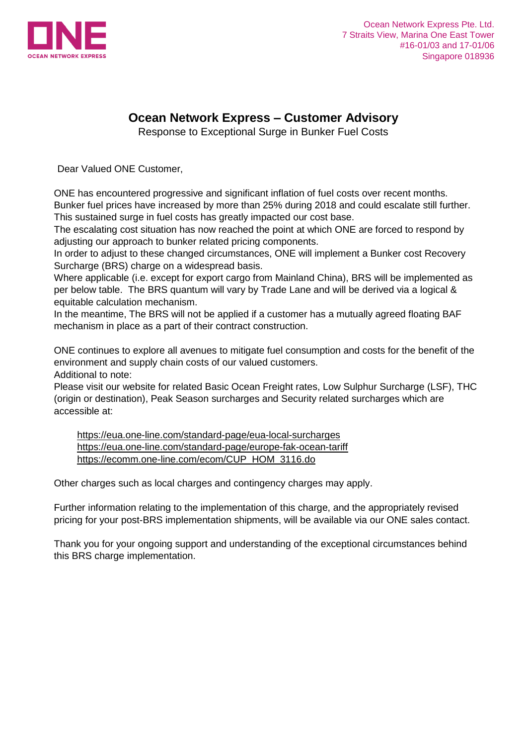

## **Ocean Network Express – Customer Advisory**

Response to Exceptional Surge in Bunker Fuel Costs

Dear Valued ONE Customer,

ONE has encountered progressive and significant inflation of fuel costs over recent months. Bunker fuel prices have increased by more than 25% during 2018 and could escalate still further. This sustained surge in fuel costs has greatly impacted our cost base.

The escalating cost situation has now reached the point at which ONE are forced to respond by adjusting our approach to bunker related pricing components.

In order to adjust to these changed circumstances, ONE will implement a Bunker cost Recovery Surcharge (BRS) charge on a widespread basis.

Where applicable (i.e. except for export cargo from Mainland China), BRS will be implemented as per below table. The BRS quantum will vary by Trade Lane and will be derived via a logical & equitable calculation mechanism.

In the meantime, The BRS will not be applied if a customer has a mutually agreed floating BAF mechanism in place as a part of their contract construction.

ONE continues to explore all avenues to mitigate fuel consumption and costs for the benefit of the environment and supply chain costs of our valued customers. Additional to note:

Please visit our website for related Basic Ocean Freight rates, Low Sulphur Surcharge (LSF), THC (origin or destination), Peak Season surcharges and Security related surcharges which are accessible at:

[https://eua.one-line.com/standard-page/eua-local-surcharges](https://goo.gl/WKGnmw)  [https://eua.one-line.com/standard-page/europe-fak-ocean-tariff](https://goo.gl/uTg6zm)  [https://ecomm.one-line.com/ecom/CUP\\_HOM\\_3116.do](https://goo.gl/FFdKra) 

Other charges such as local charges and contingency charges may apply.

Further information relating to the implementation of this charge, and the appropriately revised pricing for your post-BRS implementation shipments, will be available via our ONE sales contact.

Thank you for your ongoing support and understanding of the exceptional circumstances behind this BRS charge implementation.